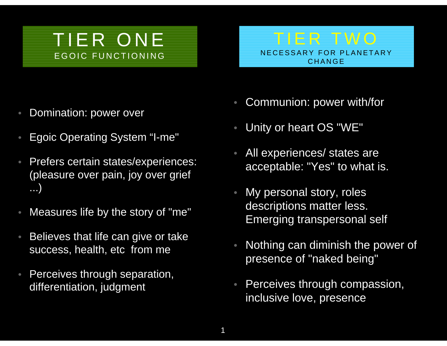## TIER ONEEGOIC FUNCTIONING

TIER TWONECESSARY FOR PLANETARY CHANGE

- •Domination: power over
- •Egoic Operating System "I-me"
- • Prefers certain states/experiences: (pleasure over pain, joy over grief ...)
- •Measures life by the story of "me"
- • Believes that life can give or take success, health, etc from me
- • Perceives through separation, differentiation, judgment
- •Communion: power with/for
- •Unity or heart OS "WE"
- • All experiences/ states are acceptable: "Yes" to what is.
- My personal story, roles descriptions matter less. Emerging transpersonal self
- • Nothing can diminish the power of presence of "naked being"
- Perceives through compassion, inclusive love, presence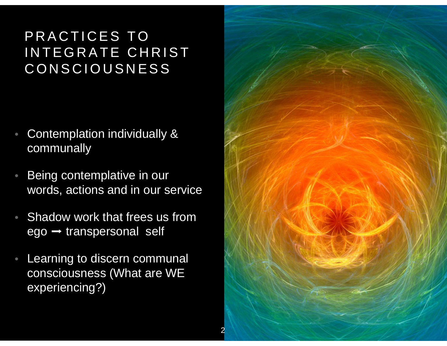## PRACTICES TO INTEGRATE CHRIST CONSCIOUSNESS

- • Contemplation individually & communally
- • Being contemplative in our words, actions and in our service
- • Shadow work that frees us from ego ➡ transpersonal self
- • Learning to discern communal consciousness (What are WE experiencing?)